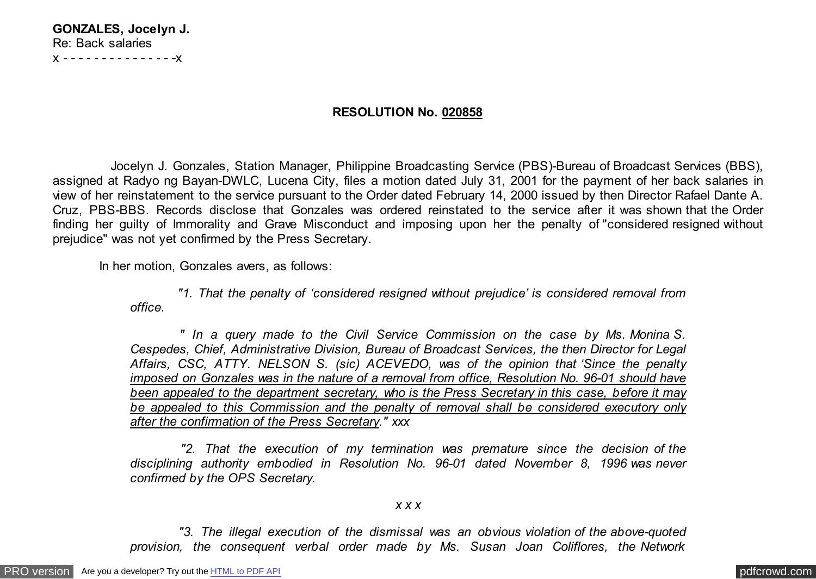| GONZALES, Jocelyn J. |
|----------------------|
| Re: Back salaries    |
| X --------------X    |

## **RESOLUTION No. 020858**

 Jocelyn J. Gonzales, Station Manager, Philippine Broadcasting Service (PBS)-Bureau of Broadcast Services (BBS), assigned at Radyo ng Bayan-DWLC, Lucena City, files a motion dated July 31, 2001 for the payment of her back salaries in view of her reinstatement to the service pursuant to the Order dated February 14, 2000 issued by then Director Rafael Dante A. Cruz, PBS-BBS. Records disclose that Gonzales was ordered reinstated to the service after it was shown that the Order finding her guilty of Immorality and Grave Misconduct and imposing upon her the penalty of "considered resigned without prejudice" was not yet confirmed by the Press Secretary.

In her motion, Gonzales avers, as follows:

 *"1. That the penalty of 'considered resigned without prejudice' is considered removal from office.*

 *" In a query made to the Civil Service Commission on the case by Ms. Monina S. Cespedes, Chief, Administrative Division, Bureau of Broadcast Services, the then Director for Legal Affairs, CSC, ATTY. NELSON S. (sic) ACEVEDO, was of the opinion that 'Since the penalty imposed on Gonzales was in the nature of a removal from office, Resolution No. 96-01 should have been appealed to the department secretary, who is the Press Secretary in this case, before it may be appealed to this Commission and the penalty of removal shall be considered executory only after the confirmation of the Press Secretary." xxx*

 *"2. That the execution of my termination was premature since the decision of the disciplining authority embodied in Resolution No. 96-01 dated November 8, 1996 was never confirmed by the OPS Secretary.*

## *x x x*

 *"3. The illegal execution of the dismissal was an obvious violation of the above-quoted provision, the consequent verbal order made by Ms. Susan Joan Coliflores, the Network*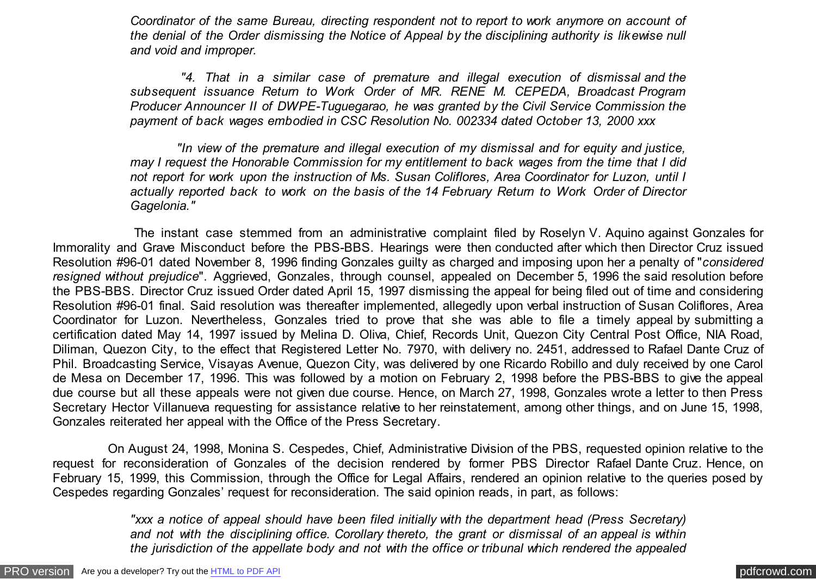*Coordinator of the same Bureau, directing respondent not to report to work anymore on account of the denial of the Order dismissing the Notice of Appeal by the disciplining authority is likewise null and void and improper.*

 *"4. That in a similar case of premature and illegal execution of dismissal and the subsequent issuance Return to Work Order of MR. RENE M. CEPEDA, Broadcast Program Producer Announcer II of DWPE-Tuguegarao, he was granted by the Civil Service Commission the payment of back wages embodied in CSC Resolution No. 002334 dated October 13, 2000 xxx*

 *"In view of the premature and illegal execution of my dismissal and for equity and justice, may I request the Honorable Commission for my entitlement to back wages from the time that I did not report for work upon the instruction of Ms. Susan Coliflores, Area Coordinator for Luzon, until I actually reported back to work on the basis of the 14 February Return to Work Order of Director Gagelonia."*

 The instant case stemmed from an administrative complaint filed by Roselyn V. Aquino against Gonzales for Immorality and Grave Misconduct before the PBS-BBS. Hearings were then conducted after which then Director Cruz issued Resolution #96-01 dated November 8, 1996 finding Gonzales guilty as charged and imposing upon her a penalty of "*considered resigned without prejudice*". Aggrieved, Gonzales, through counsel, appealed on December 5, 1996 the said resolution before the PBS-BBS. Director Cruz issued Order dated April 15, 1997 dismissing the appeal for being filed out of time and considering Resolution #96-01 final. Said resolution was thereafter implemented, allegedly upon verbal instruction of Susan Coliflores, Area Coordinator for Luzon. Nevertheless, Gonzales tried to prove that she was able to file a timely appeal by submitting a certification dated May 14, 1997 issued by Melina D. Oliva, Chief, Records Unit, Quezon City Central Post Office, NIA Road, Diliman, Quezon City, to the effect that Registered Letter No. 7970, with delivery no. 2451, addressed to Rafael Dante Cruz of Phil. Broadcasting Service, Visayas Avenue, Quezon City, was delivered by one Ricardo Robillo and duly received by one Carol de Mesa on December 17, 1996. This was followed by a motion on February 2, 1998 before the PBS-BBS to give the appeal due course but all these appeals were not given due course. Hence, on March 27, 1998, Gonzales wrote a letter to then Press Secretary Hector Villanueva requesting for assistance relative to her reinstatement, among other things, and on June 15, 1998, Gonzales reiterated her appeal with the Office of the Press Secretary.

 On August 24, 1998, Monina S. Cespedes, Chief, Administrative Division of the PBS, requested opinion relative to the request for reconsideration of Gonzales of the decision rendered by former PBS Director Rafael Dante Cruz. Hence, on February 15, 1999, this Commission, through the Office for Legal Affairs, rendered an opinion relative to the queries posed by Cespedes regarding Gonzales' request for reconsideration. The said opinion reads, in part, as follows:

> *"xxx a notice of appeal should have been filed initially with the department head (Press Secretary) and not with the disciplining office. Corollary thereto, the grant or dismissal of an appeal is within the jurisdiction of the appellate body and not with the office or tribunal which rendered the appealed*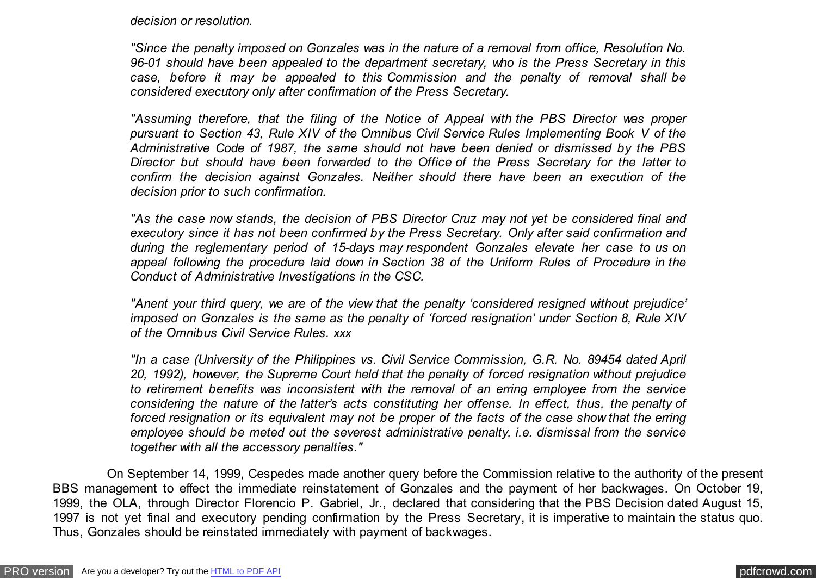*decision or resolution.*

*"Since the penalty imposed on Gonzales was in the nature of a removal from office, Resolution No. 96-01 should have been appealed to the department secretary, who is the Press Secretary in this case, before it may be appealed to this Commission and the penalty of removal shall be considered executory only after confirmation of the Press Secretary.*

*"Assuming therefore, that the filing of the Notice of Appeal with the PBS Director was proper pursuant to Section 43, Rule XIV of the Omnibus Civil Service Rules Implementing Book V of the Administrative Code of 1987, the same should not have been denied or dismissed by the PBS Director but should have been forwarded to the Office of the Press Secretary for the latter to confirm the decision against Gonzales. Neither should there have been an execution of the decision prior to such confirmation.*

*"As the case now stands, the decision of PBS Director Cruz may not yet be considered final and executory since it has not been confirmed by the Press Secretary. Only after said confirmation and during the reglementary period of 15-days may respondent Gonzales elevate her case to us on appeal following the procedure laid down in Section 38 of the Uniform Rules of Procedure in the Conduct of Administrative Investigations in the CSC.*

*"Anent your third query, we are of the view that the penalty 'considered resigned without prejudice' imposed on Gonzales is the same as the penalty of 'forced resignation' under Section 8, Rule XIV of the Omnibus Civil Service Rules. xxx*

*"In a case (University of the Philippines vs. Civil Service Commission, G.R. No. 89454 dated April 20, 1992), however, the Supreme Court held that the penalty of forced resignation without prejudice to retirement benefits was inconsistent with the removal of an erring employee from the service considering the nature of the latter's acts constituting her offense. In effect, thus, the penalty of forced resignation or its equivalent may not be proper of the facts of the case show that the erring employee should be meted out the severest administrative penalty, i.e. dismissal from the service together with all the accessory penalties."*

 On September 14, 1999, Cespedes made another query before the Commission relative to the authority of the present BBS management to effect the immediate reinstatement of Gonzales and the payment of her backwages. On October 19, 1999, the OLA, through Director Florencio P. Gabriel, Jr., declared that considering that the PBS Decision dated August 15, 1997 is not yet final and executory pending confirmation by the Press Secretary, it is imperative to maintain the status quo. Thus, Gonzales should be reinstated immediately with payment of backwages.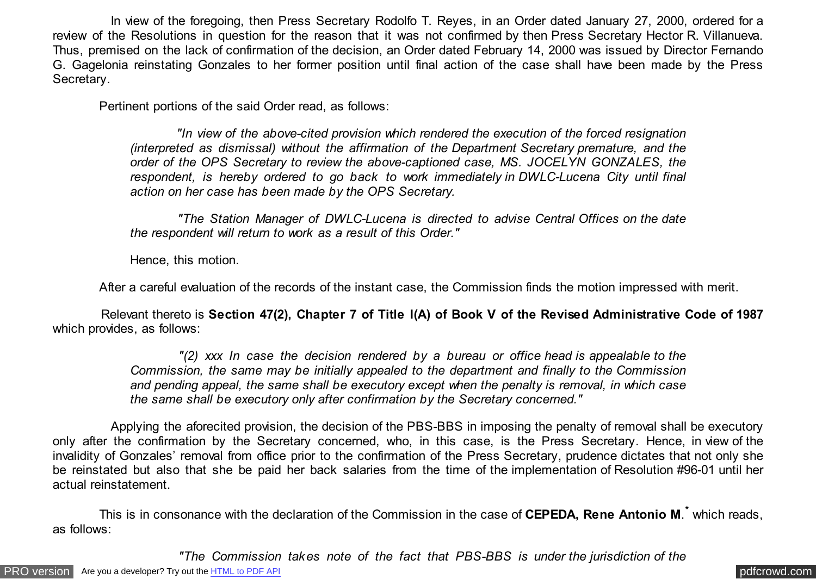In view of the foregoing, then Press Secretary Rodolfo T. Reyes, in an Order dated January 27, 2000, ordered for a review of the Resolutions in question for the reason that it was not confirmed by then Press Secretary Hector R. Villanueva. Thus, premised on the lack of confirmation of the decision, an Order dated February 14, 2000 was issued by Director Fernando G. Gagelonia reinstating Gonzales to her former position until final action of the case shall have been made by the Press Secretary.

Pertinent portions of the said Order read, as follows:

 *"In view of the above-cited provision which rendered the execution of the forced resignation (interpreted as dismissal) without the affirmation of the Department Secretary premature, and the order of the OPS Secretary to review the above-captioned case, MS. JOCELYN GONZALES, the respondent, is hereby ordered to go back to work immediately in DWLC-Lucena City until final action on her case has been made by the OPS Secretary.*

 *"The Station Manager of DWLC-Lucena is directed to advise Central Offices on the date the respondent will return to work as a result of this Order."*

Hence, this motion.

After a careful evaluation of the records of the instant case, the Commission finds the motion impressed with merit.

 Relevant thereto is **Section 47(2), Chapter 7 of Title I(A) of Book V of the Revised Administrative Code of 1987** which provides, as follows:

> *"(2) xxx In case the decision rendered by a bureau or office head is appealable to the Commission, the same may be initially appealed to the department and finally to the Commission and pending appeal, the same shall be executory except when the penalty is removal, in which case the same shall be executory only after confirmation by the Secretary concerned."*

 Applying the aforecited provision, the decision of the PBS-BBS in imposing the penalty of removal shall be executory only after the confirmation by the Secretary concerned, who, in this case, is the Press Secretary. Hence, in view of the invalidity of Gonzales' removal from office prior to the confirmation of the Press Secretary, prudence dictates that not only she be reinstated but also that she be paid her back salaries from the time of the implementation of Resolution #96-01 until her actual reinstatement.

This is in consonance with the declaration of the Commission in the case of CEPEDA, Rene Antonio M.<sup>\*</sup> which reads, as follows:

 *"The Commission takes note of the fact that PBS-BBS is under the jurisdiction of the*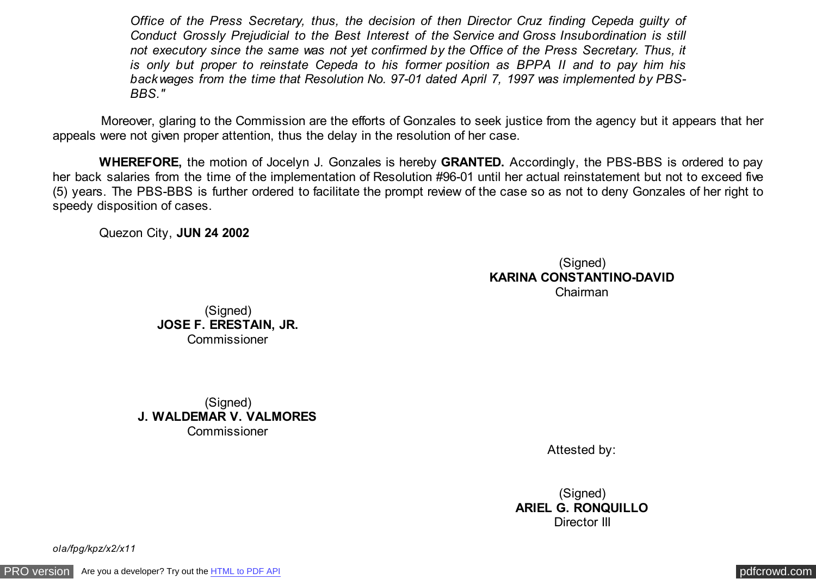*Office of the Press Secretary, thus, the decision of then Director Cruz finding Cepeda guilty of Conduct Grossly Prejudicial to the Best Interest of the Service and Gross Insubordination is still not executory since the same was not yet confirmed by the Office of the Press Secretary. Thus, it is only but proper to reinstate Cepeda to his former position as BPPA II and to pay him his backwages from the time that Resolution No. 97-01 dated April 7, 1997 was implemented by PBS-BBS."*

 Moreover, glaring to the Commission are the efforts of Gonzales to seek justice from the agency but it appears that her appeals were not given proper attention, thus the delay in the resolution of her case.

 **WHEREFORE,** the motion of Jocelyn J. Gonzales is hereby **GRANTED.** Accordingly, the PBS-BBS is ordered to pay her back salaries from the time of the implementation of Resolution #96-01 until her actual reinstatement but not to exceed five (5) years. The PBS-BBS is further ordered to facilitate the prompt review of the case so as not to deny Gonzales of her right to speedy disposition of cases.

Quezon City, **JUN 24 2002**

(Signed) **KARINA CONSTANTINO-DAVID** Chairman

(Signed) **JOSE F. ERESTAIN, JR.** Commissioner

(Signed) **J. WALDEMAR V. VALMORES** Commissioner

Attested by:

(Signed) **ARIEL G. RONQUILLO** Director III

*ola/fpg/kpz/x2/x11*